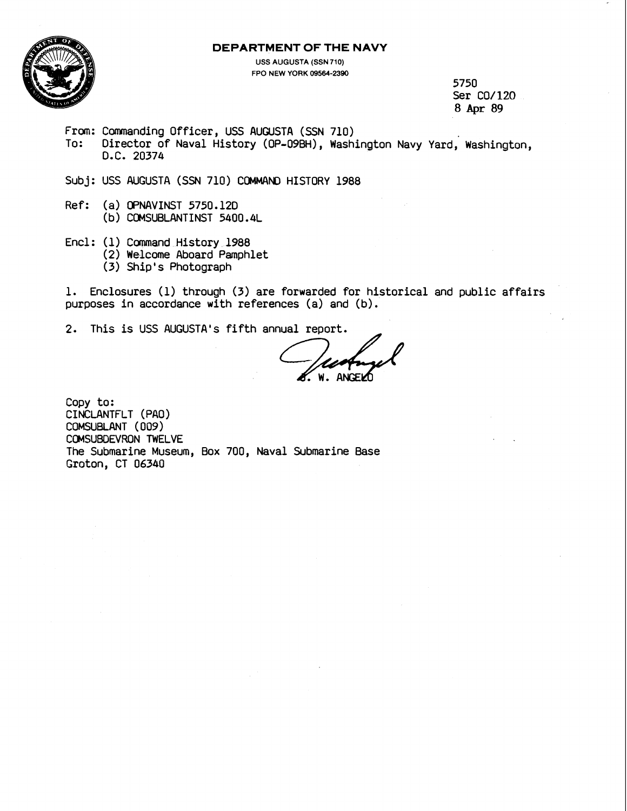#### **DEPARTMENT OF THE NAVY**



**USS AUGUSTA (SSN 710) FPO NEW YORK 09564-2390** 

5750 Ser CO/120 8 **Apr 89** 

- From: Commanding Officer, **USS AUGUSTA** (SSN 710)
- To: Director of Naval History (OP-09BH), Washington Navy Yard, Washington, D.C. 20374
- Subj: USS AUGUSTA (SSN 710) COMMAND HISTORY 1988
- Ref: (a) OPNAVINST 5750.12D (b ) COMSUBLANTINST 5400.4L
- Encl: (1) Command History 1988 (2) Welcome Aboard Pamphlet (3) Ship's Photograph

1. Enclosures (1) through (3) are forwarded for historical and public affairs purposes in accordance with references (a) and (b) .

2. This is USS AUGUSTA's fifth annual report.

Copy to: CINClANTFLT (PAO) COMSUBLANT (009) COMSUSDEVRON TWELVE The Submarine Museum, Box 700, Naval Submarine Base Groton, CT 06340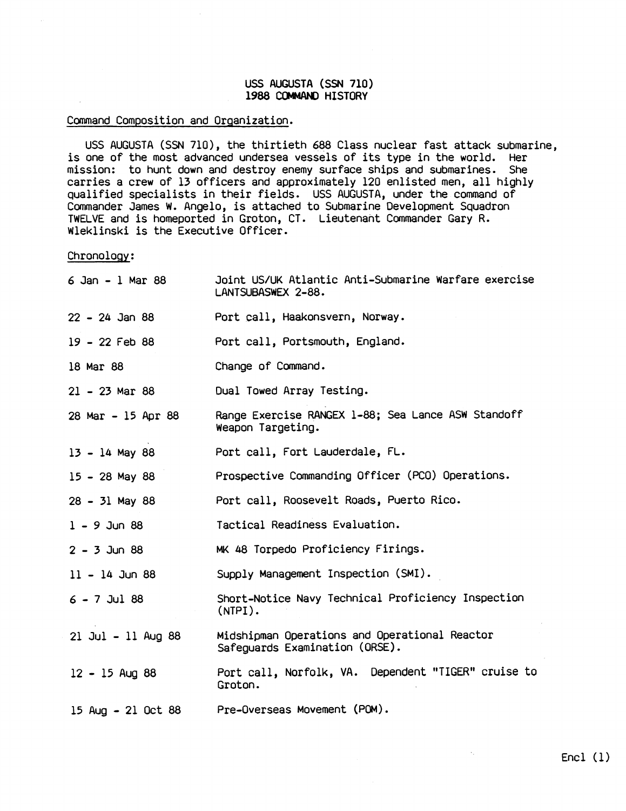# **USS** AUGUSTA (SSN 710) 1988 COMMAND HISTORY

# Command Composition and Orqanization.

USS AUGUSTA (SSN 710), the thirtieth 688 Class nuclear fast attack submarine, is one of the most advanced undersea vessels of its type in the world. Her mission: to hunt down and destroy enemy surface ships and submarines. She carries a crew of 13 officers and approximately 120 enlisted men, all highly qualified specialists in their fields. USS AUGUSTA, under the command of Commander James W. Angelo, is attached to Submarine Development Squadron TWELVE and is homeported in Groton, CT. Lieutenant Commander Gary R. Wleklinski is the Executive Officer.

Chronoloqy:

| $6$ Jan - 1 Mar 88   | Joint US/UK Atlantic Anti-Submarine Warfare exercise<br>LANTSUBASWEX 2-88.      |
|----------------------|---------------------------------------------------------------------------------|
| $22 - 24$ Jan 88     | Port call, Haakonsvern, Norway.                                                 |
| 19 - 22 Feb 88       | Port call, Portsmouth, England.                                                 |
| 18 Mar 88            | Change of Command.                                                              |
| $21 - 23$ Mar 88     | Dual Towed Array Testing.                                                       |
| 28 Mar - 15 Apr 88   | Range Exercise RANGEX 1-88; Sea Lance ASW Standoff<br>Weapon Targeting.         |
| $13 - 14$ May 88     | Port call, Fort Lauderdale, FL.                                                 |
| $15 - 28$ May 88     | Prospective Commanding Officer (PCO) Operations.                                |
| $28 - 31$ May 88     | Port call, Roosevelt Roads, Puerto Rico.                                        |
| $1 - 9$ Jun 88       | Tactical Readiness Evaluation.                                                  |
| $2 - 3$ Jun 88       | MK 48 Torpedo Proficiency Firings.                                              |
| $11 - 14$ Jun 88     | Supply Management Inspection (SMI).                                             |
| $6 - 7$ Jul 88       | Short-Notice Navy Technical Proficiency Inspection<br>$(NTPI)$ .                |
| $21$ Jul - 11 Aug 88 | Midshipman Operations and Operational Reactor<br>Safequards Examination (ORSE). |
| $12 - 15$ Aug 88     | Port call, Norfolk, VA. Dependent "TIGER" cruise to<br>Groton.                  |
| 15 Aug - 21 Oct 88   | Pre-Overseas Movement (POM).                                                    |